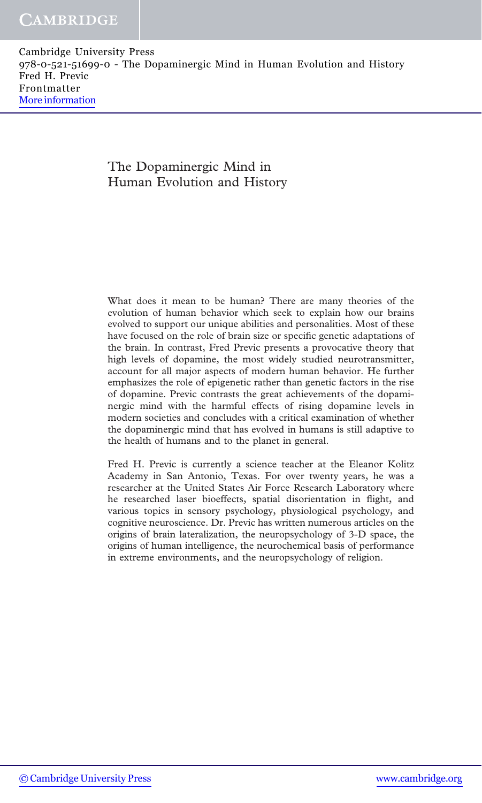#### The Dopaminergic Mind in Human Evolution and History

What does it mean to be human? There are many theories of the evolution of human behavior which seek to explain how our brains evolved to support our unique abilities and personalities. Most of these have focused on the role of brain size or specific genetic adaptations of the brain. In contrast, Fred Previc presents a provocative theory that high levels of dopamine, the most widely studied neurotransmitter, account for all major aspects of modern human behavior. He further emphasizes the role of epigenetic rather than genetic factors in the rise of dopamine. Previc contrasts the great achievements of the dopaminergic mind with the harmful effects of rising dopamine levels in modern societies and concludes with a critical examination of whether the dopaminergic mind that has evolved in humans is still adaptive to the health of humans and to the planet in general.

Fred H. Previc is currently a science teacher at the Eleanor Kolitz Academy in San Antonio, Texas. For over twenty years, he was a researcher at the United States Air Force Research Laboratory where he researched laser bioeffects, spatial disorientation in flight, and various topics in sensory psychology, physiological psychology, and cognitive neuroscience. Dr. Previc has written numerous articles on the origins of brain lateralization, the neuropsychology of 3-D space, the origins of human intelligence, the neurochemical basis of performance in extreme environments, and the neuropsychology of religion.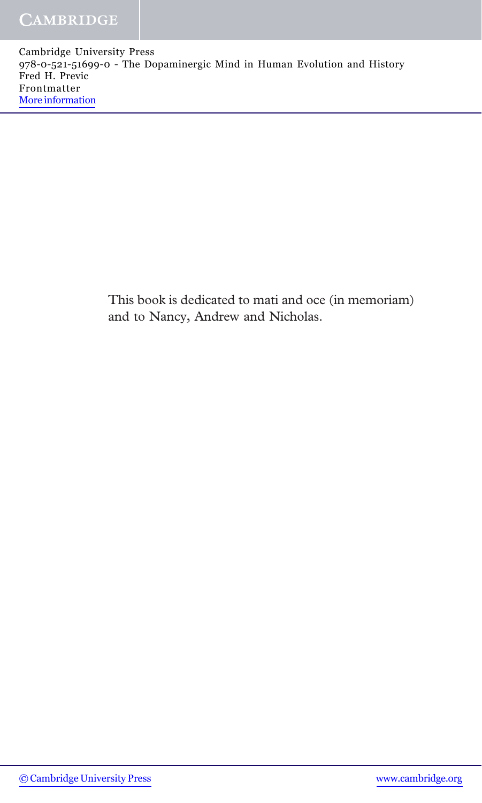> This book is dedicated to mati and oce (in memoriam) and to Nancy, Andrew and Nicholas.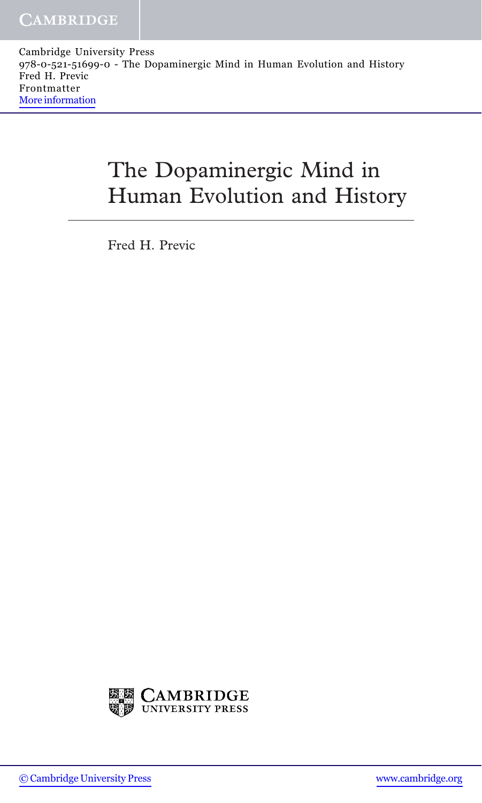# The Dopaminergic Mind in Human Evolution and History

Fred H. Previc

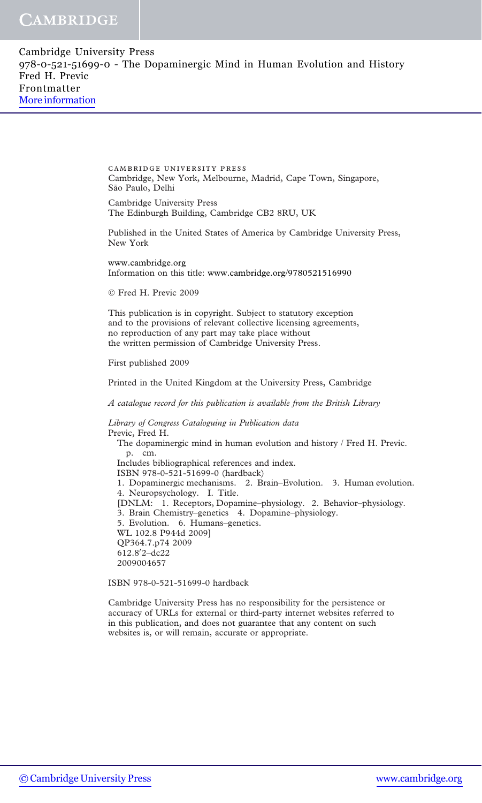#### **CAMBRIDGE**

Cambridge University Press 978-0-521-51699-0 - The Dopaminergic Mind in Human Evolution and History Fred H. Previc Frontmatter [More information](http://www.cambridge.org/9780521516990)

> cambridge university press Cambridge, New York, Melbourne, Madrid, Cape Town, Singapore, São Paulo, Delhi

Cambridge University Press The Edinburgh Building, Cambridge CB2 8RU, UK

Published in the United States of America by Cambridge University Press, New York

www.cambridge.org Information on this title: www.cambridge.org/9780521516990

Fred H. Previc 2009

This publication is in copyright. Subject to statutory exception and to the provisions of relevant collective licensing agreements, no reproduction of any part may take place without the written permission of Cambridge University Press.

First published 2009

Printed in the United Kingdom at the University Press, Cambridge

A catalogue record for this publication is available from the British Library

Library of Congress Cataloguing in Publication data Previc, Fred H. The dopaminergic mind in human evolution and history / Fred H. Previc. p. cm. Includes bibliographical references and index. ISBN 978-0-521-51699-0 (hardback) 1. Dopaminergic mechanisms. 2. Brain–Evolution. 3. Human evolution. 4. Neuropsychology. I. Title. [DNLM: 1. Receptors, Dopamine–physiology. 2. Behavior–physiology. 3. Brain Chemistry–genetics 4. Dopamine–physiology. 5. Evolution. 6. Humans–genetics. WL 102.8 P944d 2009] QP364.7.p74 2009 612.8'2-dc22 2009004657

ISBN 978-0-521-51699-0 hardback

Cambridge University Press has no responsibility for the persistence or accuracy of URLs for external or third-party internet websites referred to in this publication, and does not guarantee that any content on such websites is, or will remain, accurate or appropriate.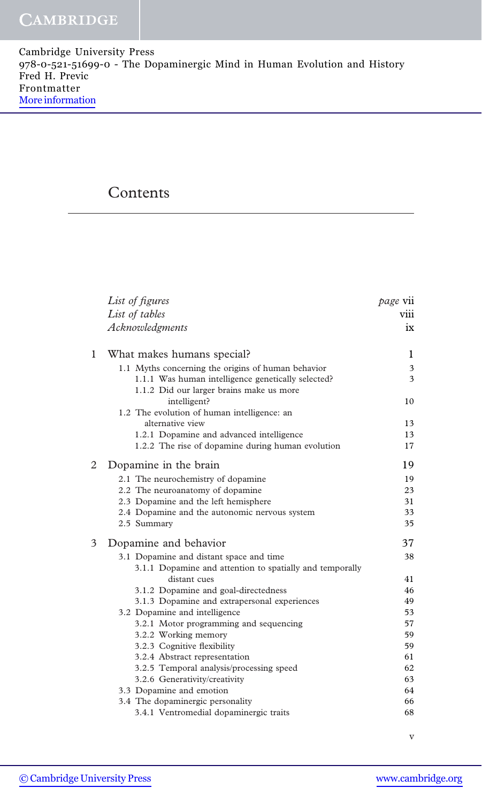## **Contents**

|   | List of figures                                          | page vii |
|---|----------------------------------------------------------|----------|
|   | List of tables                                           | viii     |
|   | Acknowledgments                                          | $ix =$   |
| 1 | What makes humans special?                               | 1        |
|   | 1.1 Myths concerning the origins of human behavior       | 3        |
|   | 1.1.1 Was human intelligence genetically selected?       | 3        |
|   | 1.1.2 Did our larger brains make us more                 |          |
|   | intelligent?                                             | 10       |
|   | 1.2 The evolution of human intelligence: an              |          |
|   | alternative view                                         | 13       |
|   | 1.2.1 Dopamine and advanced intelligence                 | 13       |
|   | 1.2.2 The rise of dopamine during human evolution        | 17       |
| 2 | Dopamine in the brain                                    | 19       |
|   | 2.1 The neurochemistry of dopamine                       | 19       |
|   | 2.2 The neuroanatomy of dopamine                         | 23       |
|   | 2.3 Dopamine and the left hemisphere                     | 31       |
|   | 2.4 Dopamine and the autonomic nervous system            | 33       |
|   | 2.5 Summary                                              | 35       |
| 3 | Dopamine and behavior                                    | 37       |
|   | 3.1 Dopamine and distant space and time                  | 38       |
|   | 3.1.1 Dopamine and attention to spatially and temporally |          |
|   | distant cues                                             | 41       |
|   | 3.1.2 Dopamine and goal-directedness                     | 46       |
|   | 3.1.3 Dopamine and extrapersonal experiences             | 49       |
|   | 3.2 Dopamine and intelligence                            | 53       |
|   | 3.2.1 Motor programming and sequencing                   | 57<br>59 |
|   | 3.2.2 Working memory<br>3.2.3 Cognitive flexibility      | 59       |
|   | 3.2.4 Abstract representation                            | 61       |
|   | 3.2.5 Temporal analysis/processing speed                 | 62       |
|   | 3.2.6 Generativity/creativity                            | 63       |
|   | 3.3 Dopamine and emotion                                 | 64       |
|   | 3.4 The dopaminergic personality                         | 66       |
|   | 3.4.1 Ventromedial dopaminergic traits                   | 68       |
|   |                                                          |          |

v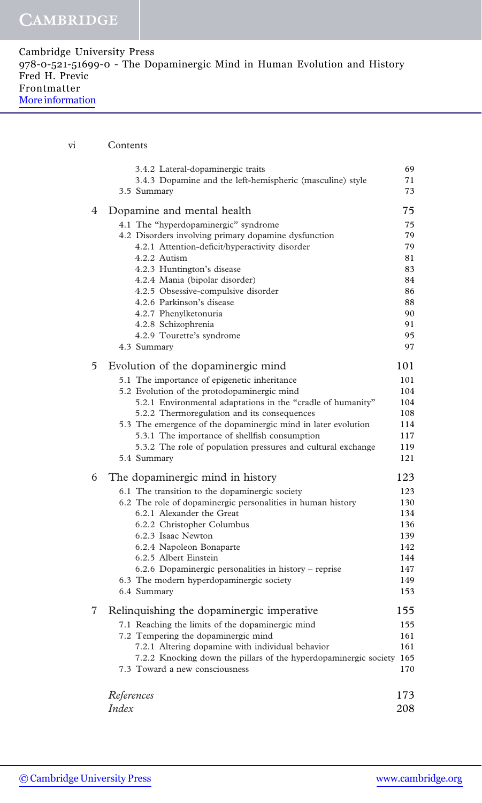| Cambridge University Press                                               |  |
|--------------------------------------------------------------------------|--|
| 978-0-521-51699-0 - The Dopaminergic Mind in Human Evolution and History |  |
| Fred H. Previc                                                           |  |
| Frontmatter                                                              |  |
| More information                                                         |  |

| vi |   | Contents                                                                                                      |                |  |
|----|---|---------------------------------------------------------------------------------------------------------------|----------------|--|
|    |   | 3.4.2 Lateral-dopaminergic traits<br>3.4.3 Dopamine and the left-hemispheric (masculine) style<br>3.5 Summary | 69<br>71<br>73 |  |
|    | 4 | Dopamine and mental health                                                                                    | 75             |  |
|    |   | 4.1 The "hyperdopaminergic" syndrome                                                                          | 75             |  |
|    |   | 4.2 Disorders involving primary dopamine dysfunction                                                          | 79             |  |
|    |   | 4.2.1 Attention-deficit/hyperactivity disorder<br>4.2.2 Autism                                                | 79<br>81       |  |
|    |   | 4.2.3 Huntington's disease                                                                                    | 83             |  |
|    |   | 4.2.4 Mania (bipolar disorder)                                                                                | 84             |  |
|    |   | 4.2.5 Obsessive-compulsive disorder                                                                           | 86             |  |
|    |   | 4.2.6 Parkinson's disease<br>4.2.7 Phenylketonuria                                                            | 88<br>90       |  |
|    |   | 4.2.8 Schizophrenia                                                                                           | 91             |  |
|    |   | 4.2.9 Tourette's syndrome                                                                                     | 95             |  |
|    |   | 4.3 Summary                                                                                                   | 97             |  |
|    | 5 | Evolution of the dopaminergic mind                                                                            | 101            |  |
|    |   | 5.1 The importance of epigenetic inheritance                                                                  | 101            |  |
|    |   | 5.2 Evolution of the protodopaminergic mind                                                                   | 104<br>104     |  |
|    |   | 5.2.1 Environmental adaptations in the "cradle of humanity"<br>5.2.2 Thermoregulation and its consequences    | 108            |  |
|    |   | 5.3 The emergence of the dopaminergic mind in later evolution                                                 | 114            |  |
|    |   | 5.3.1 The importance of shellfish consumption                                                                 | 117            |  |
|    |   | 5.3.2 The role of population pressures and cultural exchange                                                  | 119            |  |
|    |   | 5.4 Summary                                                                                                   | 121            |  |
|    | 6 | The dopaminergic mind in history                                                                              | 123            |  |
|    |   | 6.1 The transition to the dopaminergic society<br>6.2 The role of dopaminergic personalities in human history | 123<br>130     |  |
|    |   | 6.2.1 Alexander the Great                                                                                     | 134            |  |
|    |   | 6.2.2 Christopher Columbus                                                                                    | 136            |  |
|    |   | 6.2.3 Isaac Newton                                                                                            | 139            |  |
|    |   | 6.2.4 Napoleon Bonaparte                                                                                      | 142            |  |
|    |   | 6.2.5 Albert Einstein<br>6.2.6 Dopaminergic personalities in history – reprise                                | 144<br>147     |  |
|    |   | 6.3 The modern hyperdopaminergic society                                                                      | 149            |  |
|    |   | 6.4 Summary                                                                                                   | 153            |  |
|    | 7 | Relinquishing the dopaminergic imperative                                                                     | 155            |  |
|    |   | 7.1 Reaching the limits of the dopaminergic mind                                                              | 155            |  |
|    |   | 7.2 Tempering the dopaminergic mind<br>7.2.1 Altering dopamine with individual behavior                       | 161<br>161     |  |
|    |   | 7.2.2 Knocking down the pillars of the hyperdopaminergic society 165                                          |                |  |
|    |   | 7.3 Toward a new consciousness                                                                                | 170            |  |
|    |   | References                                                                                                    | 173            |  |
|    |   | Index                                                                                                         | 208            |  |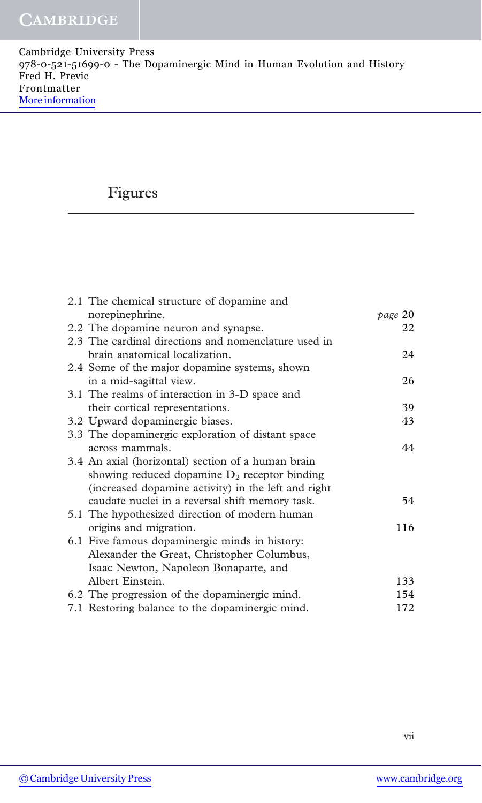## Figures

| 2.1 The chemical structure of dopamine and           |         |
|------------------------------------------------------|---------|
| norepinephrine.                                      | page 20 |
| 2.2 The dopamine neuron and synapse.                 | 22      |
| 2.3 The cardinal directions and nomenclature used in |         |
| brain anatomical localization.                       | 24      |
| 2.4 Some of the major dopamine systems, shown        |         |
| in a mid-sagittal view.                              | 26      |
| 3.1 The realms of interaction in 3-D space and       |         |
| their cortical representations.                      | 39      |
| 3.2 Upward dopaminergic biases.                      | 43      |
| 3.3 The dopaminergic exploration of distant space    |         |
| across mammals.                                      | 44      |
| 3.4 An axial (horizontal) section of a human brain   |         |
| showing reduced dopamine $D_2$ receptor binding      |         |
| (increased dopamine activity) in the left and right  |         |
| caudate nuclei in a reversal shift memory task.      | 54      |
| 5.1 The hypothesized direction of modern human       |         |
| origins and migration.                               | 116     |
| 6.1 Five famous dopaminergic minds in history:       |         |
| Alexander the Great, Christopher Columbus,           |         |
| Isaac Newton, Napoleon Bonaparte, and                |         |
| Albert Einstein.                                     | 133     |
| 6.2 The progression of the dopaminergic mind.        | 154     |
| 7.1 Restoring balance to the dopaminergic mind.      | 172     |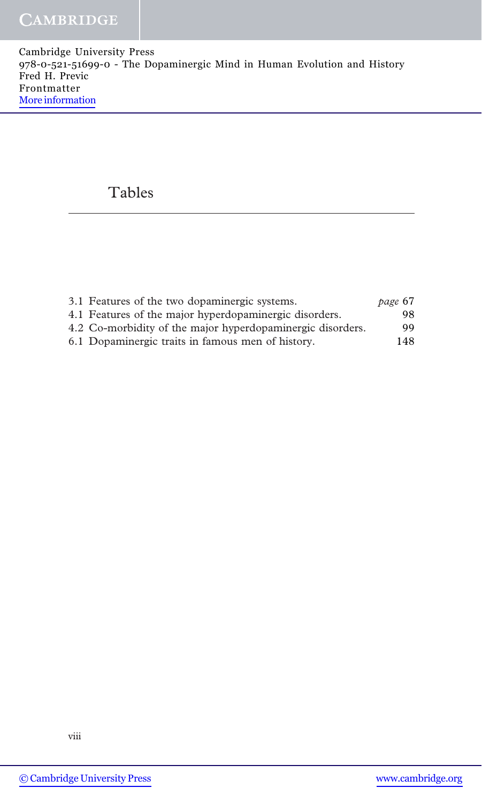### Tables

| 3.1 Features of the two dopaminergic systems.              | page 67 |
|------------------------------------------------------------|---------|
| 4.1 Features of the major hyperdopaminergic disorders.     | 98.     |
| 4.2 Co-morbidity of the major hyperdopaminergic disorders. | 99.     |
| 6.1 Dopaminergic traits in famous men of history.          | 148     |